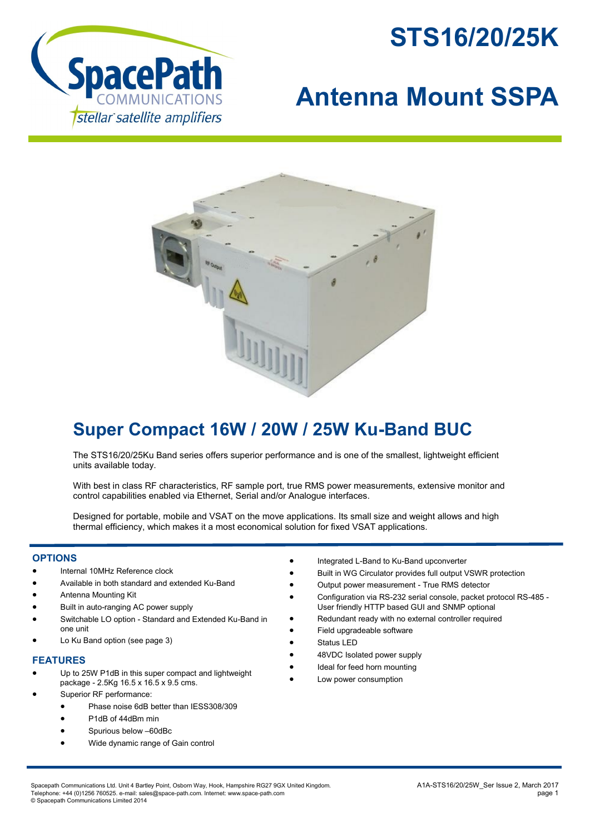



# **Antenna Mount SSPA**



## **Super Compact 16W / 20W / 25W Ku-Band BUC**

The STS16/20/25Ku Band series offers superior performance and is one of the smallest, lightweight efficient units available today.

With best in class RF characteristics, RF sample port, true RMS power measurements, extensive monitor and control capabilities enabled via Ethernet, Serial and/or Analogue interfaces.

Designed for portable, mobile and VSAT on the move applications. Its small size and weight allows and high thermal efficiency, which makes it a most economical solution for fixed VSAT applications.

#### **OPTIONS**

- Internal 10MHz Reference clock
- Available in both standard and extended Ku-Band
- Antenna Mounting Kit
- Built in auto-ranging AC power supply
- Switchable LO option Standard and Extended Ku-Band in one unit
- Lo Ku Band option (see page 3)

#### **FEATURES**

- Up to 25W P1dB in this super compact and lightweight package - 2.5Kg 16.5 x 16.5 x 9.5 cms.
- Superior RF performance:
	- Phase noise 6dB better than IESS308/309
	- P1dB of 44dBm min
	- Spurious below –60dBc
	- Wide dynamic range of Gain control
- Integrated L-Band to Ku-Band upconverter
- Built in WG Circulator provides full output VSWR protection
- Output power measurement True RMS detector
- Configuration via RS-232 serial console, packet protocol RS-485 User friendly HTTP based GUI and SNMP optional
- Redundant ready with no external controller required
- Field upgradeable software
- Status LED
- 48VDC Isolated power supply
- Ideal for feed horn mounting
- Low power consumption

Spacepath Communications Ltd. Unit 4 Bartley Point, Osborn Way, Hook, Hampshire RG27 9GX United Kingdom. A1A-STS16/20/25W\_Ser Issue 2, March 2017 Telephone: +44 (0)1256 760525. e-mail: sales@space-path.com. Internet: www.space-path.com page 1 © Spacepath Communications Limited 2014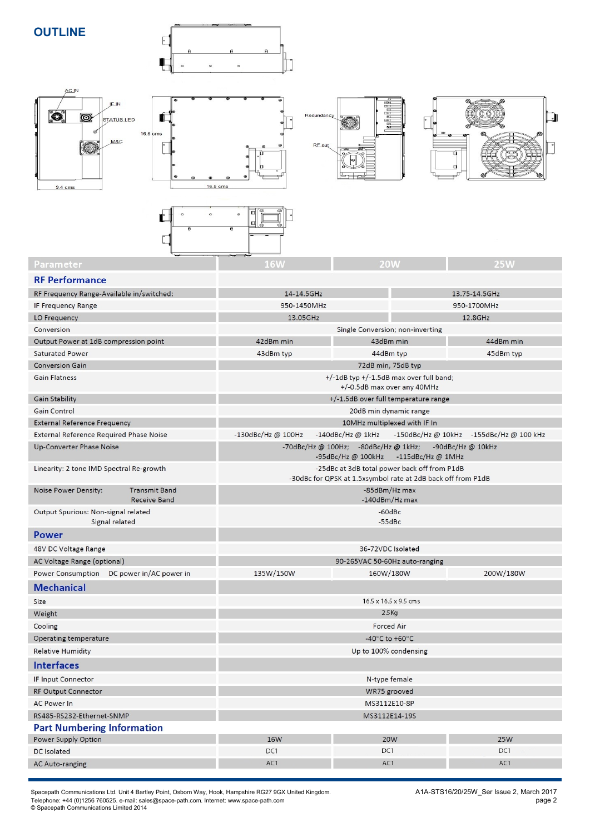**OUTLINE**



 $\Box$ 



| Parameter                                                           | 16 <sub>W</sub>                                                                                              | <b>20W</b> | <b>25W</b>    |  |
|---------------------------------------------------------------------|--------------------------------------------------------------------------------------------------------------|------------|---------------|--|
| <b>RF Performance</b>                                               |                                                                                                              |            |               |  |
| RF Frequency Range-Available in/switched:                           | 14-14.5GHz                                                                                                   |            | 13.75-14.5GHz |  |
| <b>IF Frequency Range</b>                                           | 950-1450MHz                                                                                                  |            | 950-1700MHz   |  |
| LO Frequency                                                        | 13.05GHz                                                                                                     |            | 12.8GHz       |  |
| Conversion                                                          | Single Conversion; non-inverting                                                                             |            |               |  |
| Output Power at 1dB compression point                               | 42dBm min<br>43dBm min                                                                                       |            | 44dBm min     |  |
| <b>Saturated Power</b>                                              | 43dBm typ                                                                                                    | 44dBm typ  | 45dBm typ     |  |
| <b>Conversion Gain</b>                                              | 72dB min, 75dB typ                                                                                           |            |               |  |
| <b>Gain Flatness</b>                                                | $+/-1$ dB typ $+/-1.5$ dB max over full band;<br>+/-0.5dB max over any 40MHz                                 |            |               |  |
| <b>Gain Stability</b>                                               | +/-1.5dB over full temperature range                                                                         |            |               |  |
| Gain Control                                                        | 20dB min dynamic range                                                                                       |            |               |  |
| <b>External Reference Frequency</b>                                 | 10MHz multiplexed with IF In                                                                                 |            |               |  |
| <b>External Reference Required Phase Noise</b>                      | -130dBc/Hz @ 100Hz<br>-150dBc/Hz @ 10kHz -155dBc/Hz @ 100 kHz<br>$-140$ dBc/Hz @ 1kHz                        |            |               |  |
| <b>Up-Converter Phase Noise</b>                                     | -70dBc/Hz @ 100Hz; -80dBc/Hz @ 1kHz;<br>-90dBc/Hz $@$ 10kHz<br>-95dBc/Hz @ 100kHz<br>$-115$ dBc/Hz @ 1MHz    |            |               |  |
| Linearity: 2 tone IMD Spectral Re-growth                            | -25dBc at 3dB total power back off from P1dB<br>-30dBc for QPSK at 1.5xsymbol rate at 2dB back off from P1dB |            |               |  |
| <b>Transmit Band</b><br>Noise Power Density:<br><b>Receive Band</b> | -85dBm/Hz max<br>-140dBm/Hz max                                                                              |            |               |  |
| Output Spurious: Non-signal related<br>Signal related               | $-60$ dBc<br>$-55dBc$                                                                                        |            |               |  |
| <b>Power</b>                                                        |                                                                                                              |            |               |  |
| 48V DC Voltage Range                                                | 36-72VDC Isolated                                                                                            |            |               |  |
| AC Voltage Range (optional)                                         | 90-265VAC 50-60Hz auto-ranging                                                                               |            |               |  |
| Power Consumption DC power in/AC power in                           | 135W/150W                                                                                                    | 160W/180W  | 200W/180W     |  |
| <b>Mechanical</b>                                                   |                                                                                                              |            |               |  |
| Size                                                                | $165x165x95$ cm s                                                                                            |            |               |  |

| <b>IVICCHAIIICAL</b>              |                                    |            |            |  |
|-----------------------------------|------------------------------------|------------|------------|--|
| Size                              | $16.5 \times 16.5 \times 9.5$ cm s |            |            |  |
| Weight                            | $2.5$ Kg                           |            |            |  |
| Cooling                           | <b>Forced Air</b>                  |            |            |  |
| Operating temperature             | -40 $\degree$ C to +60 $\degree$ C |            |            |  |
| <b>Relative Humidity</b>          | Up to 100% condensing              |            |            |  |
| <b>Interfaces</b>                 |                                    |            |            |  |
| IF Input Connector                | N-type female                      |            |            |  |
| <b>RF Output Connector</b>        | WR75 grooved                       |            |            |  |
| <b>AC Power In</b>                | MS3112E10-8P                       |            |            |  |
| RS485-RS232-Ethernet-SNMP         | MS3112E14-19S                      |            |            |  |
| <b>Part Numbering Information</b> |                                    |            |            |  |
| Power Supply Option               | <b>16W</b>                         | <b>20W</b> | <b>25W</b> |  |
| DC Isolated                       | DC1                                | DC1        | DC1        |  |
| <b>AC Auto-ranging</b>            | AC1                                | AC1        | AC1        |  |
|                                   |                                    |            |            |  |

Spacepath Communications Ltd. Unit 4 Bartley Point, Osborn Way, Hook, Hampshire RG27 9GX United Kingdom. And Manumerry Manumerry A1A-STS16/20/25W\_Ser Issue 2, March 2017 Telephone: +44 (0)1256 760525. e-mail: sales@space-path.com. Internet: www.space-path.com page 2 © Spacepath Communications Limited 2014